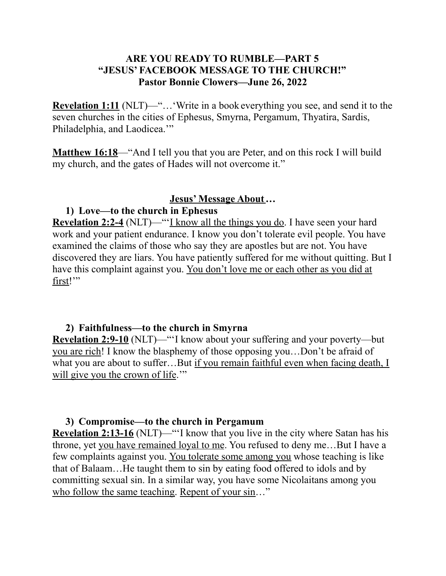## **ARE YOU READY TO RUMBLE—PART 5 "JESUS' FACEBOOK MESSAGE TO THE CHURCH!" Pastor Bonnie Clowers—June 26, 2022**

**Revelation 1:11** (NLT)—"... 'Write in a book everything you see, and send it to the seven churches in the cities of Ephesus, Smyrna, Pergamum, Thyatira, Sardis, Philadelphia, and Laodicea."

**Matthew 16:18**—"And I tell you that you are Peter, and on this rock I will build my church, and the gates of Hades will not overcome it."

#### **Jesus' Message About…**

## **1) Love—to the church in Ephesus**

**Revelation 2:2-4** (NLT)—"'I know all the things you do. I have seen your hard work and your patient endurance. I know you don't tolerate evil people. You have examined the claims of those who say they are apostles but are not. You have discovered they are liars. You have patiently suffered for me without quitting. But I have this complaint against you. You don't love me or each other as you did at first!"

#### **2) Faithfulness—to the church in Smyrna**

**Revelation 2:9-10** (NLT)—"'I know about your suffering and your poverty—but you are rich! I know the blasphemy of those opposing you…Don't be afraid of what you are about to suffer...But if you remain faithful even when facing death, I will give you the crown of life."

## **3) Compromise—to the church in Pergamum**

**Revelation 2:13-16** (NLT)—"'I know that you live in the city where Satan has his throne, yet you have remained loyal to me. You refused to deny me…But I have a few complaints against you. You tolerate some among you whose teaching is like that of Balaam…He taught them to sin by eating food offered to idols and by committing sexual sin. In a similar way, you have some Nicolaitans among you who follow the same teaching. Repent of your sin..."